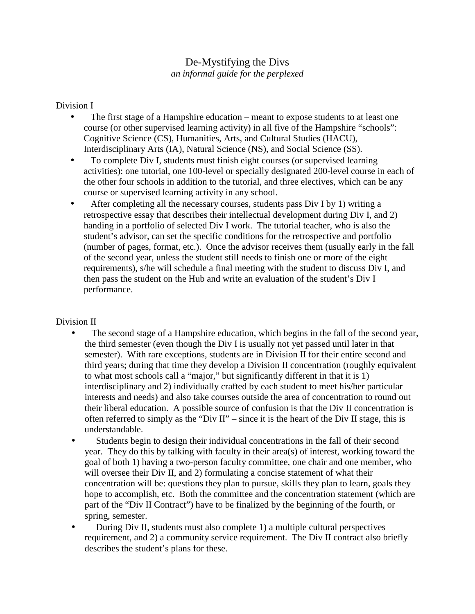## De-Mystifying the Divs *an informal guide for the perplexed*

## Division I

- The first stage of a Hampshire education meant to expose students to at least one course (or other supervised learning activity) in all five of the Hampshire "schools": Cognitive Science (CS), Humanities, Arts, and Cultural Studies (HACU), Interdisciplinary Arts (IA), Natural Science (NS), and Social Science (SS).
- To complete Div I, students must finish eight courses (or supervised learning activities): one tutorial, one 100-level or specially designated 200-level course in each of the other four schools in addition to the tutorial, and three electives, which can be any course or supervised learning activity in any school.
- After completing all the necessary courses, students pass Div I by 1) writing a retrospective essay that describes their intellectual development during Div I, and 2) handing in a portfolio of selected Div I work. The tutorial teacher, who is also the student's advisor, can set the specific conditions for the retrospective and portfolio (number of pages, format, etc.). Once the advisor receives them (usually early in the fall of the second year, unless the student still needs to finish one or more of the eight requirements), s/he will schedule a final meeting with the student to discuss Div I, and then pass the student on the Hub and write an evaluation of the student's Div I performance.

## Division II

- The second stage of a Hampshire education, which begins in the fall of the second year, the third semester (even though the Div I is usually not yet passed until later in that semester). With rare exceptions, students are in Division II for their entire second and third years; during that time they develop a Division II concentration (roughly equivalent to what most schools call a "major," but significantly different in that it is 1) interdisciplinary and 2) individually crafted by each student to meet his/her particular interests and needs) and also take courses outside the area of concentration to round out their liberal education. A possible source of confusion is that the Div II concentration is often referred to simply as the "Div  $II$ " – since it is the heart of the Div II stage, this is understandable.
- Students begin to design their individual concentrations in the fall of their second year. They do this by talking with faculty in their area(s) of interest, working toward the goal of both 1) having a two-person faculty committee, one chair and one member, who will oversee their Div II, and 2) formulating a concise statement of what their concentration will be: questions they plan to pursue, skills they plan to learn, goals they hope to accomplish, etc. Both the committee and the concentration statement (which are part of the "Div II Contract") have to be finalized by the beginning of the fourth, or spring, semester.
- During Div II, students must also complete 1) a multiple cultural perspectives requirement, and 2) a community service requirement. The Div II contract also briefly describes the student's plans for these.